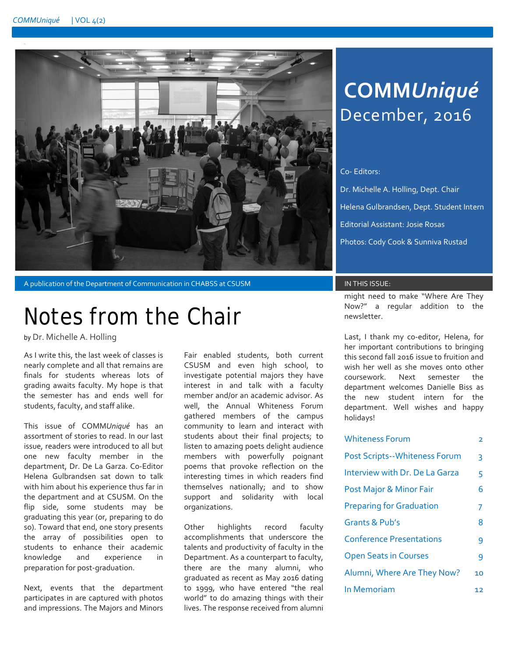

A publication of the Department of Communication in CHABSS at CSUSM **IN THIS ISSUE:** 

## Notes from the Chair

by Dr. Michelle A. Holling

As I write this, the last week of classes is nearly complete and all that remains are finals for students whereas lots of grading awaits faculty. My hope is that the semester has and ends well for students, faculty, and staff alike.

This issue of COMM*Uniqué* has an assortment of stories to read. In our last issue, readers were introduced to all but one new faculty member in the department, Dr. De La Garza. Co-Editor Helena Gulbrandsen sat down to talk with him about his experience thus far in the department and at CSUSM. On the flip side, some students may be graduating this year (or, preparing to do so). Toward that end, one story presents the array of possibilities open to students to enhance their academic knowledge and experience in preparation for post-graduation.

Next, events that the department participates in are captured with photos and impressions. The Majors and Minors

Fair enabled students, both current CSUSM and even high school, to investigate potential majors they have interest in and talk with a faculty member and/or an academic advisor. As well, the Annual Whiteness Forum gathered members of the campus community to learn and interact with students about their final projects; to listen to amazing poets delight audience members with powerfully poignant poems that provoke reflection on the interesting times in which readers find themselves nationally; and to show support and solidarity with local organizations.

Other highlights record faculty accomplishments that underscore the talents and productivity of faculty in the Department. As a counterpart to faculty, there are the many alumni, who graduated as recent as May 2016 dating to 1999, who have entered "the real world" to do amazing things with their lives. The response received from alumni

## **COMM***Uniqué* December, 2016

### Co- Editors:

Dr. Michelle A. Holling, Dept. Chair Helena Gulbrandsen, Dept. Student Intern Editorial Assistant: Josie Rosas Photos: Cody Cook & Sunniva Rustad

might need to make "Where Are They Now?" a regular addition to the newsletter.

Last, I thank my co-editor, Helena, for her important contributions to bringing this second fall 2016 issue to fruition and wish her well as she moves onto other coursework. Next semester the department welcomes Danielle Biss as the new student intern for the department. Well wishes and happy holidays!

| <b>Whiteness Forum</b>               | 2  |
|--------------------------------------|----|
| <b>Post Scripts--Whiteness Forum</b> | 3  |
| Interview with Dr. De La Garza       | 5  |
| Post Major & Minor Fair              | 6  |
| <b>Preparing for Graduation</b>      | 7  |
| Grants & Pub's                       | 8  |
| <b>Conference Presentations</b>      | 9  |
| <b>Open Seats in Courses</b>         | 9  |
| Alumni, Where Are They Now?          | 10 |
| In Memoriam                          | 12 |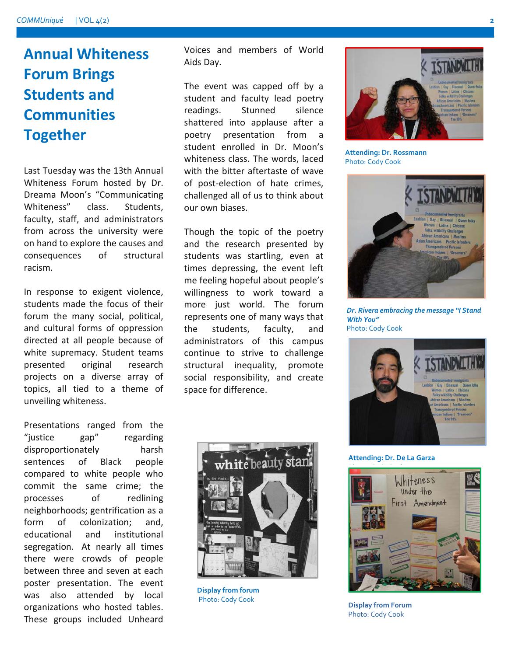## **Annual Whiteness Forum Brings Students and Communities Together**

Last Tuesday was the 13th Annual Whiteness Forum hosted by Dr. Dreama Moon's "Communicating Whiteness" class. Students, faculty, staff, and administrators from across the university were on hand to explore the causes and consequences of structural racism.

In response to exigent violence, students made the focus of their forum the many social, political, and cultural forms of oppression directed at all people because of white supremacy. Student teams presented original research projects on a diverse array of topics, all tied to a theme of unveiling whiteness.

Presentations ranged from the "justice gap" regarding disproportionately harsh sentences of Black people compared to white people who commit the same crime; the processes of redlining neighborhoods; gentrification as a form of colonization; and, educational and institutional segregation. At nearly all times there were crowds of people between three and seven at each poster presentation. The event was also attended by local organizations who hosted tables. These groups included Unheard

Voices and members of World Aids Day.

The event was capped off by a student and faculty lead poetry readings. Stunned silence shattered into applause after a poetry presentation from a student enrolled in Dr. Moon's whiteness class. The words, laced with the bitter aftertaste of wave of post-election of hate crimes, challenged all of us to think about our own biases.

Though the topic of the poetry and the research presented by students was startling, even at times depressing, the event left me feeling hopeful about people's willingness to work toward a more just world. The forum represents one of many ways that the students, faculty, and administrators of this campus continue to strive to challenge structural inequality, promote social responsibility, and create space for difference.



**Attending: Dr. Rossmann** Photo: Cody Cook



*Dr. Rivera embracing the message "I Stand With You"* Photo: Cody Cook



**Attending: Dr. De La Garza**



Photo: Cody Cook



**Display from forum** Photo: Cody Cook **Display from Forum**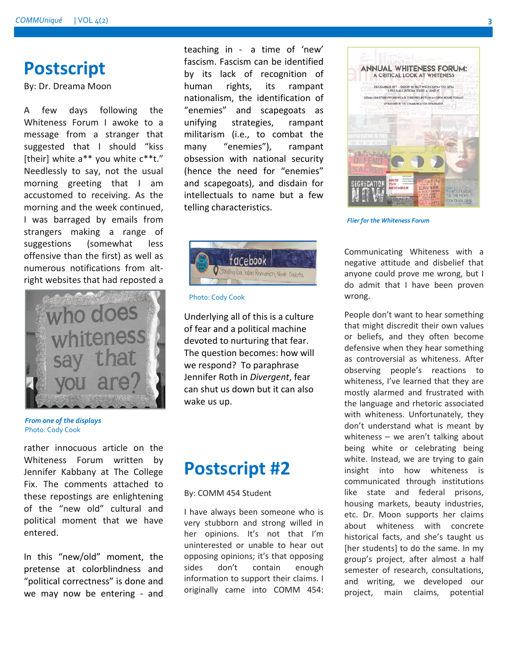## **Postscript**

By: Dr. Dreama Moon

A few days following the Whiteness Forum I awoke to a message from a stranger that suggested that I should "kiss [their] white a\*\* you white  $c^*$ t." Needlessly to say, not the usual morning greeting that I am accustomed to receiving. As the morning and the week continued, I was barraged by emails from strangers making a range of suggestions (somewhat less offensive than the first) as well as numerous notifications from altright websites that had reposted a



*From one of the displays* Photo: Cody Cook

rather innocuous article on the Whiteness Forum written by Jennifer Kabbany at The College Fix. The comments attached to these repostings are enlightening of the "new old" cultural and political moment that we have entered.

In this "new/old" moment, the pretense at colorblindness and "political correctness" is done and we may now be entering - and teaching in - a time of 'new' fascism. Fascism can be identified by its lack of recognition of human rights, its rampant nationalism, the identification of "enemies" and scapegoats as unifying strategies, rampant militarism (i.e., to combat the many "enemies"), rampant obsession with national security (hence the need for "enemies" and scapegoats), and disdain for intellectuals to name but a few telling characteristics.



Photo: Cody Cook

Underlying all of this is a culture of fear and a political machine devoted to nurturing that fear. The question becomes: how will we respond? To paraphrase Jennifer Roth in *Divergent*, fear can shut us down but it can also wake us up.

## **Postscript #2**

### By: COMM 454 Student

I have always been someone who is very stubborn and strong willed in her opinions. It's not that I'm uninterested or unable to hear out opposing opinions; it's that opposing sides don't contain enough information to support their claims. I originally came into COMM 454:



*Flier for the Whiteness Forum*

Communicating Whiteness with a negative attitude and disbelief that anyone could prove me wrong, but I do admit that I have been proven wrong.

People don't want to hear something that might discredit their own values or beliefs, and they often become defensive when they hear something as controversial as whiteness. After observing people's reactions to whiteness, I've learned that they are mostly alarmed and frustrated with the language and rhetoric associated with whiteness. Unfortunately, they don't understand what is meant by whiteness – we aren't talking about being white or celebrating being white. Instead, we are trying to gain insight into how whiteness is communicated through institutions like state and federal prisons, housing markets, beauty industries, etc. Dr. Moon supports her claims about whiteness with concrete historical facts, and she's taught us [her students] to do the same. In my group's project, after almost a half semester of research, consultations, and writing, we developed our project, main claims, potential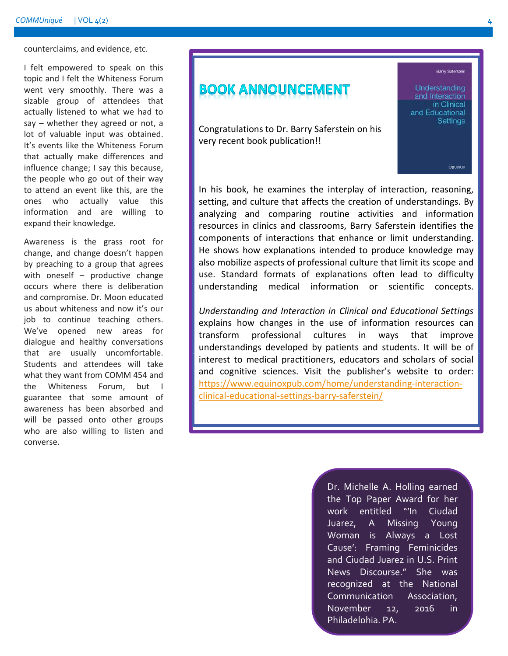counterclaims, and evidence, etc.

I felt empowered to speak on this topic and I felt the Whiteness Forum went very smoothly. There was a sizable group of attendees that actually listened to what we had to say – whether they agreed or not, a lot of valuable input was obtained. It's events like the Whiteness Forum that actually make differences and influence change; I say this because, the people who go out of their way to attend an event like this, are the ones who actually value this information and are willing to expand their knowledge.

Awareness is the grass root for change, and change doesn't happen by preaching to a group that agrees with oneself – productive change occurs where there is deliberation and compromise. Dr. Moon educated us about whiteness and now it's our job to continue teaching others. We've opened new areas for dialogue and healthy conversations that are usually uncomfortable. Students and attendees will take what they want from COMM 454 and the Whiteness Forum, but I guarantee that some amount of awareness has been absorbed and will be passed onto other groups who are also willing to listen and converse.

### **BOOK ANNOUNCEMENT**

Congratulations to Dr. Barry Saferstein on his very recent book publication!!

In his book, he examines the interplay of interaction, reasoning, setting, and culture that affects the creation of understandings. By analyzing and comparing routine activities and information resources in clinics and classrooms, Barry Saferstein identifies the components of interactions that enhance or limit understanding. He shows how explanations intended to produce knowledge may also mobilize aspects of professional culture that limit its scope and use. Standard formats of explanations often lead to difficulty understanding medical information or scientific concepts.

*Understanding and Interaction in Clinical and Educational Settings* explains how changes in the use of information resources can transform professional cultures in ways that improve understandings developed by patients and students. It will be of interest to medical practitioners, educators and scholars of social and cognitive sciences. Visit the publisher's website to order: [https://www.equinoxpub.com/home/understanding-interaction](https://www.equinoxpub.com/home/understanding-interaction-clinical-educational-settings-barry-saferstein/)[clinical-educational-settings-barry-saferstein/](https://www.equinoxpub.com/home/understanding-interaction-clinical-educational-settings-barry-saferstein/)

> Dr. Michelle A. Holling earned the Top Paper Award for her work entitled "'In Ciudad Juarez, A Missing Young Woman is Always a Lost Cause': Framing Feminicides and Ciudad Juarez in U.S. Print News Discourse." She was recognized at the National Communication Association, November 12, 2016 in Philadelphia, PA.

**Barry Saferstein** 

eguinox

Understanding and Interaction in Clinical and Educational **Settings**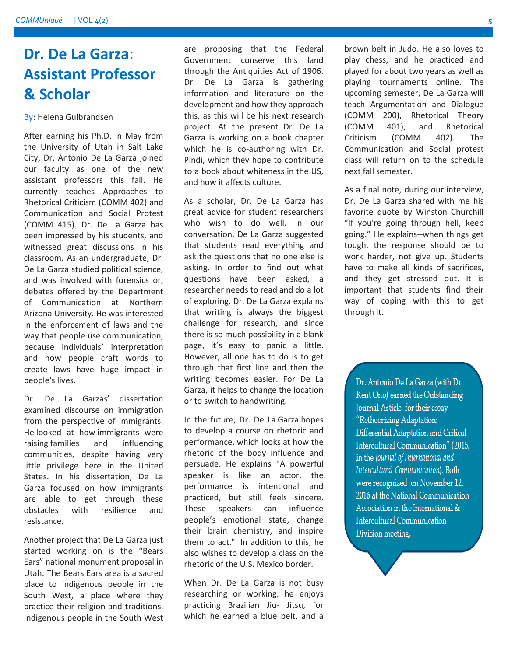## **Dr. De La Garza**: **Assistant Professor & Scholar**

By: Helena Gulbrandsen

After earning his Ph.D. in May from the University of Utah in Salt Lake City, Dr. Antonio De La Garza joined our faculty as one of the new assistant professors this fall. He currently teaches Approaches to Rhetorical Criticism (COMM 402) and Communication and Social Protest (COMM 415). Dr. De La Garza has been impressed by his students, and witnessed great discussions in his classroom. As an undergraduate, Dr. De La Garza studied political science, and was involved with forensics or, debates offered by the Department of Communication at Northern Arizona University. He was interested in the enforcement of laws and the way that people use communication, because individuals' interpretation and how people craft words to create laws have huge impact in people's lives.

Dr. De La Garzas' dissertation examined discourse on immigration from the perspective of immigrants. He looked at how immigrants were raising families and influencing communities, despite having very little privilege here in the United States. In his dissertation, De La Garza focused on how immigrants are able to get through these obstacles with resilience and resistance.

Another project that De La Garza just started working on is the "Bears Ears" national monument proposal in Utah. The Bears Ears area is a sacred place to indigenous people in the South West, a place where they practice their religion and traditions. Indigenous people in the South West are proposing that the Federal Government conserve this land through the Antiquities Act of 1906. Dr. De La Garza is gathering information and literature on the development and how they approach this, as this will be his next research project. At the present Dr. De La Garza is working on a book chapter which he is co-authoring with Dr. Pindi, which they hope to contribute to a book about whiteness in the US, and how it affects culture.

As a scholar, Dr. De La Garza has great advice for student researchers who wish to do well. In our conversation, De La Garza suggested that students read everything and ask the questions that no one else is asking. In order to find out what questions have been asked, a researcher needs to read and do a lot of exploring. Dr. De La Garza explains that writing is always the biggest challenge for research, and since there is so much possibility in a blank page, it's easy to panic a little. However, all one has to do is to get through that first line and then the writing becomes easier. For De La Garza, it helps to change the location or to switch to handwriting.

In the future, Dr. De La Garza hopes to develop a course on rhetoric and performance, which looks at how the rhetoric of the body influence and persuade. He explains "A powerful speaker is like an actor, the performance is intentional and practiced, but still feels sincere. These speakers can influence people's emotional state, change their brain chemistry, and inspire them to act." In addition to this, he also wishes to develop a class on the rhetoric of the U.S. Mexico border.

When Dr. De La Garza is not busy researching or working, he enjoys practicing Brazilian Jiu- Jitsu, for which he earned a blue belt, and a

brown belt in Judo. He also loves to play chess, and he practiced and played for about two years as well as playing tournaments online. The upcoming semester, De La Garza will teach Argumentation and Dialogue (COMM 200), Rhetorical Theory (COMM 401), and Rhetorical Criticism (COMM 402). The Communication and Social protest class will return on to the schedule next fall semester.

As a final note, during our interview, Dr. De La Garza shared with me his favorite quote by Winston Churchill "If you're going through hell, keep going." He explains--when things get tough, the response should be to work harder, not give up. Students have to make all kinds of sacrifices, and they get stressed out. It is important that students find their way of coping with this to get through it.

Dr. Antonio De La Garza (with Dr. Kent Ono) earned the Outstanding Journal Article for their essay "Retheorizing Adaptation: Differential Adaptation and Critical Intercultural Communication" (2015, in the Journal of International and Intercultural Communication). Both were recognized on November 12, 2016 at the National Communication Association in the International & **Intercultural Communication** Division meeting.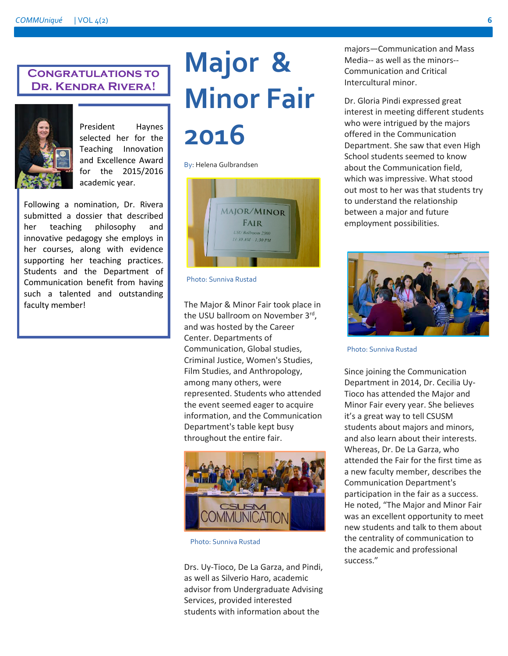### **Congratulations to Dr. Kendra Rivera!**



President Haynes selected her for the Teaching Innovation and Excellence Award for the 2015/2016 academic year.

Following a nomination, Dr. Rivera submitted a dossier that described her teaching philosophy and innovative pedagogy she employs in her courses, along with evidence supporting her teaching practices. Students and the Department of Communication benefit from having such a talented and outstanding faculty member!

# **Major & Minor Fair 2016**

By: Helena Gulbrandsen



Photo: Sunniva Rustad

The Major & Minor Fair took place in the USU ballroom on November 3rd, and was hosted by the Career Center. Departments of Communication, Global studies, Criminal Justice, Women's Studies, Film Studies, and Anthropology, among many others, were represented. Students who attended the event seemed eager to acquire information, and the Communication Department's table kept busy throughout the entire fair.



Photo: Sunniva Rustad

Drs. Uy-Tioco, De La Garza, and Pindi, as well as Silverio Haro, academic advisor from Undergraduate Advising Services, provided interested students with information about the

majors—Communication and Mass Media-- as well as the minors-- Communication and Critical Intercultural minor.

Dr. Gloria Pindi expressed great interest in meeting different students who were intrigued by the majors offered in the Communication Department. She saw that even High School students seemed to know about the Communication field, which was impressive. What stood out most to her was that students try to understand the relationship between a major and future employment possibilities.



Photo: Sunniva Rustad

Since joining the Communication Department in 2014, Dr. Cecilia Uy-Tioco has attended the Major and Minor Fair every year. She believes it's a great way to tell CSUSM students about majors and minors, and also learn about their interests. Whereas, Dr. De La Garza, who attended the Fair for the first time as a new faculty member, describes the Communication Department's participation in the fair as a success. He noted, "The Major and Minor Fair was an excellent opportunity to meet new students and talk to them about the centrality of communication to the academic and professional success."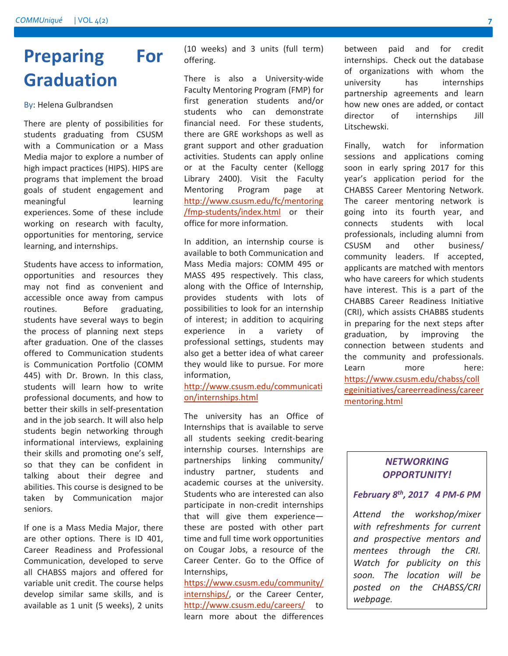## **Preparing For Graduation**

By: Helena Gulbrandsen

There are plenty of possibilities for students graduating from CSUSM with a Communication or a Mass Media major to explore a number of high impact practices (HIPS). HIPS are programs that implement the broad goals of student engagement and meaningful learning experiences. Some of these include working on research with faculty, opportunities for mentoring, service learning, and internships.

Students have access to information, opportunities and resources they may not find as convenient and accessible once away from campus routines. Before graduating, students have several ways to begin the process of planning next steps after graduation. One of the classes offered to Communication students is Communication Portfolio (COMM 445) with Dr. Brown. In this class, students will learn how to write professional documents, and how to better their skills in self-presentation and in the job search. It will also help students begin networking through informational interviews, explaining their skills and promoting one's self, so that they can be confident in talking about their degree and abilities. This course is designed to be taken by Communication major seniors.

If one is a Mass Media Major, there are other options. There is ID 401, Career Readiness and Professional Communication, developed to serve all CHABSS majors and offered for variable unit credit. The course helps develop similar same skills, and is available as 1 unit (5 weeks), 2 units (10 weeks) and 3 units (full term) offering.

There is also a University-wide Faculty Mentoring Program (FMP) for first generation students and/or students who can demonstrate financial need. For these students, there are GRE workshops as well as grant support and other graduation activities. Students can apply online or at the Faculty center (Kellogg Library 2400). Visit the Faculty Mentoring Program page at [http://www.csusm.edu/fc/mentoring](http://www.csusm.edu/fc/mentoring/fmp-students/index.html) [/fmp-students/index.html](http://www.csusm.edu/fc/mentoring/fmp-students/index.html) or their office for more information.

In addition, an internship course is available to both Communication and Mass Media majors: COMM 495 or MASS 495 respectively. This class, along with the Office of Internship, provides students with lots of possibilities to look for an internship of interest; in addition to acquiring experience in a variety of professional settings, students may also get a better idea of what career they would like to pursue. For more information,

[http://www.csusm.edu/communicati](http://www.csusm.edu/communication/internships.html) [on/internships.html](http://www.csusm.edu/communication/internships.html)

The university has an Office of Internships that is available to serve all students seeking credit-bearing internship courses. Internships are partnerships linking community/ industry partner, students and academic courses at the university. Students who are interested can also participate in non-credit internships that will give them experience these are posted with other part time and full time work opportunities on Cougar Jobs, a resource of the Career Center. Go to the Office of Internships,

[https://www.csusm.edu/community/](https://www.csusm.edu/community/internships/) [internships/,](https://www.csusm.edu/community/internships/) or the Career Center, <http://www.csusm.edu/careers/>to learn more about the differences

between paid and for credit internships. Check out the database of organizations with whom the university has internships partnership agreements and learn how new ones are added, or contact director of internships Jill Litschewski.

Finally, watch for information sessions and applications coming soon in early spring 2017 for this year's application period for the CHABSS Career Mentoring Network. The career mentoring network is going into its fourth year, and connects students with local professionals, including alumni from CSUSM and other business/ community leaders. If accepted, applicants are matched with mentors who have careers for which students have interest. This is a part of the CHABBS Career Readiness Initiative (CRI), which assists CHABBS students in preparing for the next steps after graduation, by improving the connection between students and the community and professionals. Learn more here: [https://www.csusm.edu/chabss/coll](https://www.csusm.edu/chabss/collegeinitiatives/careerreadiness/careermentoring.html) [egeinitiatives/careerreadiness/career](https://www.csusm.edu/chabss/collegeinitiatives/careerreadiness/careermentoring.html) [mentoring.html](https://www.csusm.edu/chabss/collegeinitiatives/careerreadiness/careermentoring.html)

### *NETWORKING OPPORTUNITY!*

### *February 8th, 2017 4 PM-6 PM*

*Attend the workshop/mixer with refreshments for current and prospective mentors and mentees through the CRI. Watch for publicity on this soon. The location will be posted on the CHABSS/CRI webpage.*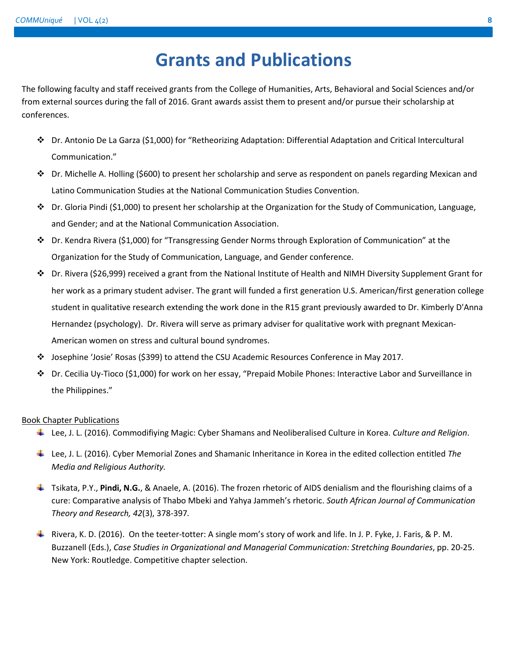## **Grants and Publications**

The following faculty and staff received grants from the College of Humanities, Arts, Behavioral and Social Sciences and/or from external sources during the fall of 2016. Grant awards assist them to present and/or pursue their scholarship at conferences.

- Dr. Antonio De La Garza (\$1,000) for "Retheorizing Adaptation: Differential Adaptation and Critical Intercultural Communication."
- Dr. Michelle A. Holling (\$600) to present her scholarship and serve as respondent on panels regarding Mexican and Latino Communication Studies at the National Communication Studies Convention.
- $\clubsuit$  Dr. Gloria Pindi (\$1,000) to present her scholarship at the Organization for the Study of Communication, Language, and Gender; and at the National Communication Association.
- Dr. Kendra Rivera (\$1,000) for "Transgressing Gender Norms through Exploration of Communication" at the Organization for the Study of Communication, Language, and Gender conference.
- Dr. Rivera (\$26,999) received a grant from the National Institute of Health and NIMH Diversity Supplement Grant for her work as a primary student adviser. The grant will funded a first generation U.S. American/first generation college student in qualitative research extending the work done in the R15 grant previously awarded to Dr. Kimberly D'Anna Hernandez (psychology). Dr. Rivera will serve as primary adviser for qualitative work with pregnant Mexican-American women on stress and cultural bound syndromes.
- Josephine 'Josie' Rosas (\$399) to attend the CSU Academic Resources Conference in May 2017.
- Dr. Cecilia Uy-Tioco (\$1,000) for work on her essay, "Prepaid Mobile Phones: Interactive Labor and Surveillance in the Philippines."

### Book Chapter Publications

- Lee, J. L. (2016). Commodifiying Magic: Cyber Shamans and Neoliberalised Culture in Korea. *Culture and Religion*.
- Lee, J. L. (2016). Cyber Memorial Zones and Shamanic Inheritance in Korea in the edited collection entitled *The Media and Religious Authority.*
- Tsikata, P.Y., **Pindi, N.G.**, & Anaele, A. (2016). The frozen rhetoric of AIDS denialism and the flourishing claims of a cure: Comparative analysis of Thabo Mbeki and Yahya Jammeh's rhetoric. *South African Journal of Communication Theory and Research, 42*(3), 378-397*.*
- Rivera, K. D. (2016). On the teeter-totter: A single mom's story of work and life. In J. P. Fyke, J. Faris, & P. M. Buzzanell (Eds.), *Case Studies in Organizational and Managerial Communication: Stretching Boundaries*, pp. 20-25. New York: Routledge. Competitive chapter selection.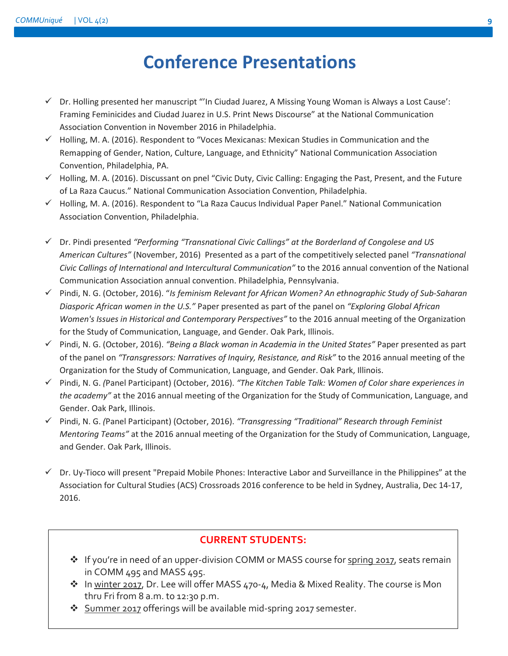## **Conference Presentations**

- $\checkmark$  Dr. Holling presented her manuscript "'In Ciudad Juarez, A Missing Young Woman is Always a Lost Cause': Framing Feminicides and Ciudad Juarez in U.S. Print News Discourse" at the National Communication Association Convention in November 2016 in Philadelphia.
- $\checkmark$  Holling, M. A. (2016). Respondent to "Voces Mexicanas: Mexican Studies in Communication and the Remapping of Gender, Nation, Culture, Language, and Ethnicity" National Communication Association Convention, Philadelphia, PA.
- $\checkmark$  Holling, M. A. (2016). Discussant on pnel "Civic Duty, Civic Calling: Engaging the Past, Present, and the Future of La Raza Caucus." National Communication Association Convention, Philadelphia.
- $\checkmark$  Holling, M. A. (2016). Respondent to "La Raza Caucus Individual Paper Panel." National Communication Association Convention, Philadelphia.
- Dr. Pindi presented *"Performing "Transnational Civic Callings" at the Borderland of Congolese and US American Cultures"* (November, 2016) Presented as a part of the competitively selected panel *"Transnational Civic Callings of International and Intercultural Communication"* to the 2016 annual convention of the National Communication Association annual convention. Philadelphia, Pennsylvania.
- Pindi, N. G. (October, 2016). "*Is feminism Relevant for African Women? An ethnographic Study of Sub-Saharan Diasporic African women in the U.S."* Paper presented as part of the panel on *"Exploring Global African Women's Issues in Historical and Contemporary Perspectives"* to the 2016 annual meeting of the Organization for the Study of Communication, Language, and Gender. Oak Park, Illinois.
- Pindi, N. G. (October, 2016). *"Being a Black woman in Academia in the United States"* Paper presented as part of the panel on *"Transgressors: Narratives of Inquiry, Resistance, and Risk"* to the 2016 annual meeting of the Organization for the Study of Communication, Language, and Gender. Oak Park, Illinois.
- Pindi, N. G. *(*Panel Participant) (October, 2016). *"The Kitchen Table Talk: Women of Color share experiences in the academy"* at the 2016 annual meeting of the Organization for the Study of Communication, Language, and Gender. Oak Park, Illinois.
- Pindi, N. G. *(*Panel Participant) (October, 2016). *"Transgressing "Traditional" Research through Feminist Mentoring Teams"* at the 2016 annual meeting of the Organization for the Study of Communication, Language, and Gender. Oak Park, Illinois.
- $\checkmark$  Dr. Uy-Tioco will present "Prepaid Mobile Phones: Interactive Labor and Surveillance in the Philippines" at the Association for Cultural Studies (ACS) Crossroads 2016 conference to be held in Sydney, Australia, Dec 14-17, 2016.

### **CURRENT STUDENTS:**

- \* If you're in need of an upper-division COMM or MASS course for spring 2017, seats remain in COMM 495 and MASS 495.
- \* In winter 2017, Dr. Lee will offer MASS 470-4, Media & Mixed Reality. The course is Mon thru Fri from 8 a.m. to 12:30 p.m.
- **Summer 2017** offerings will be available mid-spring 2017 semester.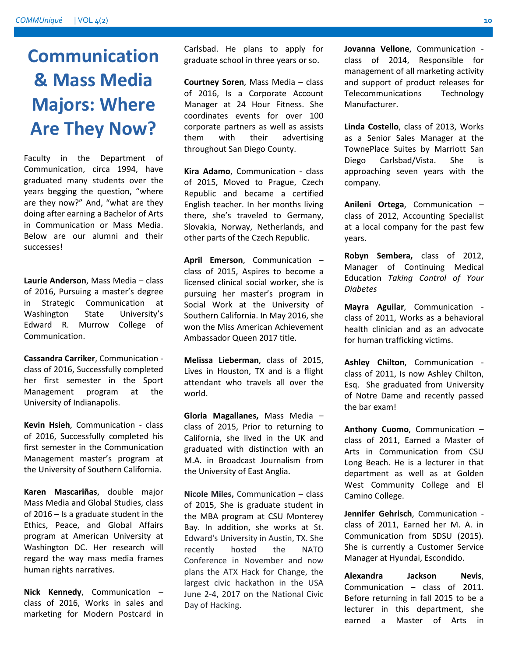## **Communication & Mass Media Majors: Where Are They Now?**

Faculty in the Department of Communication, circa 1994, have graduated many students over the years begging the question, "where are they now?" And, "what are they doing after earning a Bachelor of Arts in Communication or Mass Media. Below are our alumni and their successes!

**Laurie Anderson**, Mass Media – class of 2016, Pursuing a master's degree in Strategic Communication at Washington State University's Edward R. Murrow College of Communication.

**Cassandra Carriker**, Communication class of 2016, Successfully completed her first semester in the Sport Management program at the University of Indianapolis.

**Kevin Hsieh**, Communication - class of 2016, Successfully completed his first semester in the Communication Management master's program at the University of Southern California.

**Karen Mascariñas**, double major Mass Media and Global Studies, class of 2016 – Is a graduate student in the Ethics, Peace, and Global Affairs program at American University at Washington DC. Her research will regard the way mass media frames human rights narratives.

**Nick Kennedy**, Communication – class of 2016, Works in sales and marketing for Modern Postcard in

Carlsbad. He plans to apply for graduate school in three years or so.

**Courtney Soren**, Mass Media – class of 2016, Is a Corporate Account Manager at 24 Hour Fitness. She coordinates events for over 100 corporate partners as well as assists them with their advertising throughout San Diego County.

**Kira Adamo**, Communication - class of 2015, Moved to Prague, Czech Republic and became a certified English teacher. In her months living there, she's traveled to Germany, Slovakia, Norway, Netherlands, and other parts of the Czech Republic.

**April Emerson**, Communication – class of 2015, Aspires to become a licensed clinical social worker, she is pursuing her master's program in Social Work at the University of Southern California. In May 2016, she won the Miss American Achievement Ambassador Queen 2017 title.

**Melissa Lieberman**, class of 2015, Lives in Houston, TX and is a flight attendant who travels all over the world.

**Gloria Magallanes,** Mass Media – class of 2015, Prior to returning to California, she lived in the UK and graduated with distinction with an M.A. in Broadcast Journalism from the University of East Anglia.

**Nicole Miles,** Communication – class of 2015, She is graduate student in the MBA program at CSU Monterey Bay. In addition, she works at St. Edward's University in Austin, TX. She recently hosted the NATO Conference in November and now plans the ATX Hack for Change, the largest civic hackathon in the USA June 2-4, 2017 on the National Civic Day of Hacking.

**Jovanna Vellone**, Communication class of 2014, Responsible for management of all marketing activity and support of product releases for Telecommunications Technology Manufacturer.

**Linda Costello**, class of 2013, Works as a Senior Sales Manager at the TownePlace Suites by Marriott San Diego Carlsbad/Vista. She is approaching seven years with the company.

**Anileni Ortega**, Communication – class of 2012, Accounting Specialist at a local company for the past few years.

**Robyn Sembera,** class of 2012, Manager of Continuing Medical Education *Taking Control of Your Diabetes*

**Mayra Aguilar**, Communication class of 2011, Works as a behavioral health clinician and as an advocate for human trafficking victims.

**Ashley Chilton**, Communication class of 2011, Is now Ashley Chilton, Esq. She graduated from University of Notre Dame and recently passed the bar exam!

**Anthony Cuomo**, Communication – class of 2011, Earned a Master of Arts in Communication from CSU Long Beach. He is a lecturer in that department as well as at Golden West Community College and El Camino College.

**Jennifer Gehrisch**, Communication class of 2011, Earned her M. A. in Communication from SDSU (2015). She is currently a Customer Service Manager at Hyundai, Escondido.

**Alexandra Jackson Nevis**, Communication – class of 2011. Before returning in fall 2015 to be a lecturer in this department, she earned a Master of Arts in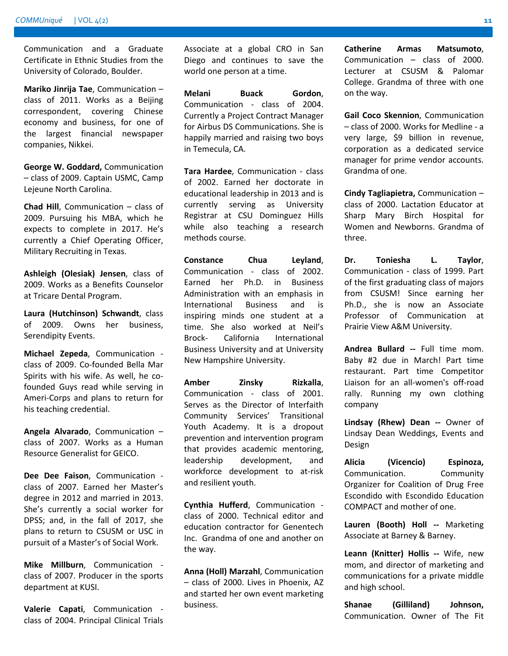Communication and a Graduate Certificate in Ethnic Studies from the University of Colorado, Boulder.

**Mariko Jinrija Tae**, Communication – class of 2011. Works as a Beijing correspondent, covering Chinese economy and business, for one of the largest financial newspaper companies, Nikkei.

**George W. Goddard,** Communication – class of 2009. Captain USMC, Camp Lejeune North Carolina.

**Chad Hill**, Communication – class of 2009. Pursuing his MBA, which he expects to complete in 2017. He's currently a Chief Operating Officer, Military Recruiting in Texas.

**Ashleigh (Olesiak) Jensen**, class of 2009. Works as a Benefits Counselor at Tricare Dental Program.

**Laura (Hutchinson) Schwandt**, class of 2009. Owns her business, Serendipity Events.

**Michael Zepeda**, Communication class of 2009. Co-founded Bella Mar Spirits with his wife. As well, he cofounded Guys read while serving in Ameri-Corps and plans to return for his teaching credential.

**Angela Alvarado**, Communication – class of 2007. Works as a Human Resource Generalist for GEICO.

**Dee Dee Faison**, Communication class of 2007. Earned her Master's degree in 2012 and married in 2013. She's currently a social worker for DPSS; and, in the fall of 2017, she plans to return to CSUSM or USC in pursuit of a Master's of Social Work.

**Mike Millburn**, Communication class of 2007. Producer in the sports department at KUSI.

**Valerie Capati**, Communication class of 2004. Principal Clinical Trials Associate at a global CRO in San Diego and continues to save the world one person at a time.

**Melani Buack Gordon**, Communication - class of 2004. Currently a Project Contract Manager for Airbus DS Communications. She is happily married and raising two boys in Temecula, CA.

**Tara Hardee**, Communication - class of 2002. Earned her doctorate in educational leadership in 2013 and is currently serving as University Registrar at CSU Dominguez Hills while also teaching a research methods course.

**Constance Chua Leyland**, Communication - class of 2002. Earned her Ph.D. in Business Administration with an emphasis in International Business and is inspiring minds one student at a time. She also worked at Neil's Brock- California International Business University and at University New Hampshire University.

**Amber Zinsky Rizkalla**, Communication - class of 2001. Serves as the Director of Interfaith Community Services' Transitional Youth Academy. It is a dropout prevention and intervention program that provides academic mentoring, leadership development, and workforce development to at-risk and resilient youth.

**Cynthia Hufferd**, Communication class of 2000. Technical editor and education contractor for Genentech Inc. Grandma of one and another on the way.

**Anna (Holl) Marzahl**, Communication – class of 2000. Lives in Phoenix, AZ and started her own event marketing business.

**Catherine Armas Matsumoto**, Communication – class of 2000. Lecturer at CSUSM & Palomar College. Grandma of three with one on the way.

**Gail Coco Skennion**, Communication – class of 2000. Works for Medline - a very large, \$9 billion in revenue, corporation as a dedicated service manager for prime vendor accounts. Grandma of one.

**Cindy Tagliapietra,** Communication – class of 2000. Lactation Educator at Sharp Mary Birch Hospital for Women and Newborns. Grandma of three.

**Dr. Toniesha L. Taylor**, Communication - class of 1999. Part of the first graduating class of majors from CSUSM! Since earning her Ph.D., she is now an Associate Professor of Communication at Prairie View A&M University.

**Andrea Bullard --** Full time mom. Baby #2 due in March! Part time restaurant. Part time Competitor Liaison for an all-women's off-road rally. Running my own clothing company

**Lindsay (Rhew) Dean --** Owner of Lindsay Dean Weddings, Events and Design

**Alicia (Vicencio) Espinoza,**  Communication. Community Organizer for Coalition of Drug Free Escondido with Escondido Education COMPACT and mother of one.

**Lauren (Booth) Holl --** Marketing Associate at Barney & Barney.

**Leann (Knitter) Hollis --** Wife, new mom, and director of marketing and communications for a private middle and high school.

**Shanae (Gilliland) Johnson,** Communication. Owner of The Fit